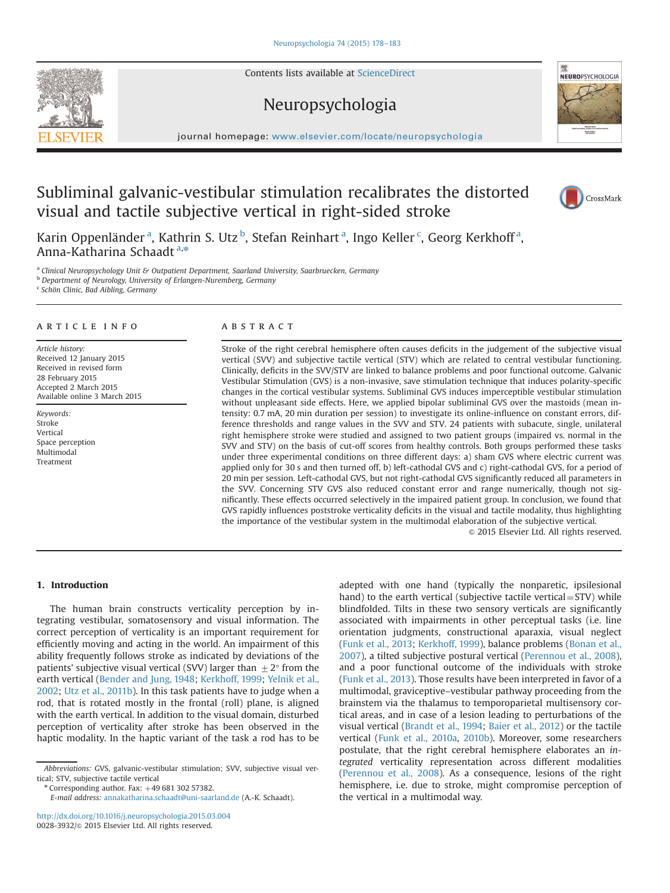Contents lists available at [ScienceDirect](www.sciencedirect.com/science/journal/00283932)

# Neuropsychologia



# Subliminal galvanic-vestibular stimulation recalibrates the distorted visual and tactile subjective vertical in right-sided stroke

Karin Oppenländer <sup>a</sup>, Kathrin S. Utz <sup>b</sup>, Stefan Reinhart <sup>a</sup>, Ingo Keller <sup>c</sup>, Georg Kerkhoff <sup>a</sup>, Anna-Katharina Schaadt<sup>a,\*</sup>

a Clinical Neuropsychology Unit & Outpatient Department, Saarland University, Saarbruecken, Germany

**b** Department of Neurology, University of Erlangen-Nuremberg, Germany

<sup>c</sup> Schön Clinic, Bad Aibling, Germany

## article info

Article history: Received 12 January 2015 Received in revised form 28 February 2015 Accepted 2 March 2015 Available online 3 March 2015

Keywords: Stroke Vertical Space perception Multimodal Treatment

#### **ARSTRACT**

Stroke of the right cerebral hemisphere often causes deficits in the judgement of the subjective visual vertical (SVV) and subjective tactile vertical (STV) which are related to central vestibular functioning. Clinically, deficits in the SVV/STV are linked to balance problems and poor functional outcome. Galvanic Vestibular Stimulation (GVS) is a non-invasive, save stimulation technique that induces polarity-specific changes in the cortical vestibular systems. Subliminal GVS induces imperceptible vestibular stimulation without unpleasant side effects. Here, we applied bipolar subliminal GVS over the mastoids (mean intensity: 0.7 mA, 20 min duration per session) to investigate its online-influence on constant errors, difference thresholds and range values in the SVV and STV. 24 patients with subacute, single, unilateral right hemisphere stroke were studied and assigned to two patient groups (impaired vs. normal in the SVV and STV) on the basis of cut-off scores from healthy controls. Both groups performed these tasks under three experimental conditions on three different days: a) sham GVS where electric current was applied only for 30 s and then turned off, b) left-cathodal GVS and c) right-cathodal GVS, for a period of 20 min per session. Left-cathodal GVS, but not right-cathodal GVS significantly reduced all parameters in the SVV. Concerning STV GVS also reduced constant error and range numerically, though not significantly. These effects occurred selectively in the impaired patient group. In conclusion, we found that GVS rapidly influences poststroke verticality deficits in the visual and tactile modality, thus highlighting the importance of the vestibular system in the multimodal elaboration of the subjective vertical.

 $©$  2015 Elsevier Ltd. All rights reserved.

## 1. Introduction

The human brain constructs verticality perception by integrating vestibular, somatosensory and visual information. The correct perception of verticality is an important requirement for efficiently moving and acting in the world. An impairment of this ability frequently follows stroke as indicated by deviations of the patients' subjective visual vertical (SVV) larger than  $\pm 2^{\circ}$  from the earth vertical [\(Bender and Jung, 1948](#page-5-0); [Kerkhoff, 1999;](#page-5-0) [Yelnik et al.,](#page-5-0) [2002;](#page-5-0) [Utz et al., 2011b\)](#page-5-0). In this task patients have to judge when a rod, that is rotated mostly in the frontal (roll) plane, is aligned with the earth vertical. In addition to the visual domain, disturbed perception of verticality after stroke has been observed in the haptic modality. In the haptic variant of the task a rod has to be

Abbreviations: GVS, galvanic-vestibular stimulation; SVV, subjective visual vertical; STV, subjective tactile vertical

 $*$  Corresponding author. Fax:  $+4968130257382$ .

E-mail address: [annakatharina.schaadt@uni-saarland.de](mailto:annakatharina.schaadt@uni-saarland.de) (A.-K. Schaadt).

<http://dx.doi.org/10.1016/j.neuropsychologia.2015.03.004> 0028-3932/& 2015 Elsevier Ltd. All rights reserved.

adepted with one hand (typically the nonparetic, ipsilesional hand) to the earth vertical (subjective tactile vertical =  $STV$ ) while blindfolded. Tilts in these two sensory verticals are significantly associated with impairments in other perceptual tasks (i.e. line orientation judgments, constructional aparaxia, visual neglect ([Funk et al., 2013;](#page-5-0) [Kerkhoff, 1999\)](#page-5-0), balance problems [\(Bonan et al.,](#page-5-0) [2007\)](#page-5-0), a tilted subjective postural vertical [\(Perennou et al., 2008\)](#page-5-0), and a poor functional outcome of the individuals with stroke ([Funk et al., 2013](#page-5-0)). Those results have been interpreted in favor of a multimodal, graviceptive–vestibular pathway proceeding from the brainstem via the thalamus to temporoparietal multisensory cortical areas, and in case of a lesion leading to perturbations of the visual vertical [\(Brandt et al., 1994](#page-5-0); [Baier et al., 2012](#page-5-0)) or the tactile vertical ([Funk et al., 2010a](#page-5-0), [2010b](#page-5-0)). Moreover, some researchers postulate, that the right cerebral hemisphere elaborates an integrated verticality representation across different modalities ([Perennou et al., 2008\)](#page-5-0). As a consequence, lesions of the right hemisphere, i.e. due to stroke, might compromise perception of the vertical in a multimodal way.

CrossMark



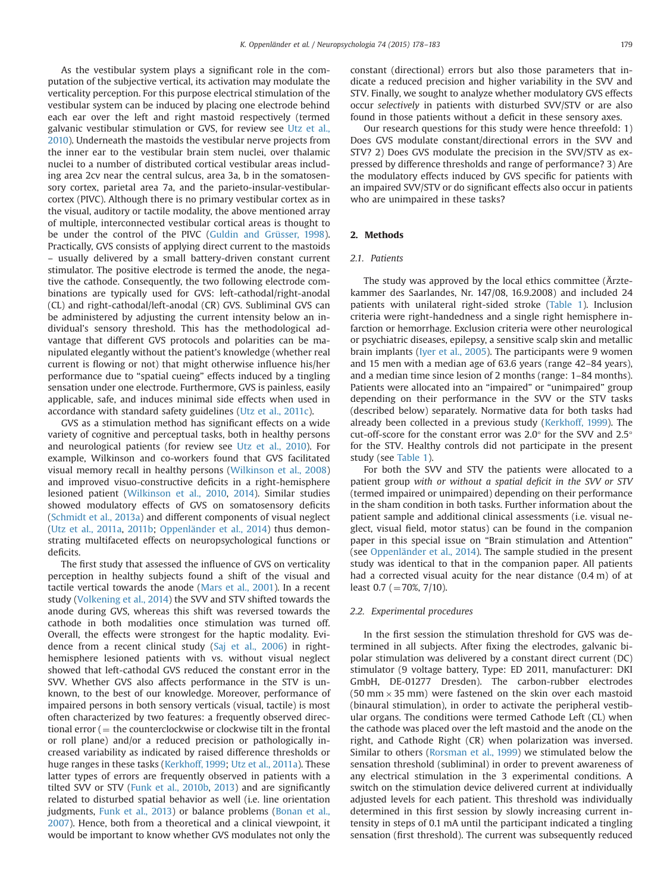As the vestibular system plays a significant role in the computation of the subjective vertical, its activation may modulate the verticality perception. For this purpose electrical stimulation of the vestibular system can be induced by placing one electrode behind each ear over the left and right mastoid respectively (termed galvanic vestibular stimulation or GVS, for review see [Utz et al.,](#page-5-0) [2010\)](#page-5-0). Underneath the mastoids the vestibular nerve projects from the inner ear to the vestibular brain stem nuclei, over thalamic nuclei to a number of distributed cortical vestibular areas including area 2cv near the central sulcus, area 3a, b in the somatosensory cortex, parietal area 7a, and the parieto-insular-vestibularcortex (PIVC). Although there is no primary vestibular cortex as in the visual, auditory or tactile modality, the above mentioned array of multiple, interconnected vestibular cortical areas is thought to be under the control of the PIVC ([Guldin and Grüsser, 1998\)](#page-5-0). Practically, GVS consists of applying direct current to the mastoids – usually delivered by a small battery-driven constant current stimulator. The positive electrode is termed the anode, the negative the cathode. Consequently, the two following electrode combinations are typically used for GVS: left-cathodal/right-anodal (CL) and right-cathodal/left-anodal (CR) GVS. Subliminal GVS can be administered by adjusting the current intensity below an individual's sensory threshold. This has the methodological advantage that different GVS protocols and polarities can be manipulated elegantly without the patient's knowledge (whether real current is flowing or not) that might otherwise influence his/her performance due to "spatial cueing" effects induced by a tingling sensation under one electrode. Furthermore, GVS is painless, easily applicable, safe, and induces minimal side effects when used in accordance with standard safety guidelines ([Utz et al., 2011c](#page-5-0)).

GVS as a stimulation method has significant effects on a wide variety of cognitive and perceptual tasks, both in healthy persons and neurological patients (for review see [Utz et al., 2010](#page-5-0)). For example, Wilkinson and co-workers found that GVS facilitated visual memory recall in healthy persons ([Wilkinson et al., 2008\)](#page-5-0) and improved visuo-constructive deficits in a right-hemisphere lesioned patient [\(Wilkinson et al., 2010](#page-5-0), [2014](#page-5-0)). Similar studies showed modulatory effects of GVS on somatosensory deficits ([Schmidt et al., 2013a\)](#page-5-0) and different components of visual neglect ([Utz et al., 2011a](#page-5-0), [2011b](#page-5-0); [Oppenländer et al., 2014](#page-5-0)) thus demonstrating multifaceted effects on neuropsychological functions or deficits.

The first study that assessed the influence of GVS on verticality perception in healthy subjects found a shift of the visual and tactile vertical towards the anode ([Mars et al., 2001\)](#page-5-0). In a recent study ([Volkening et al., 2014\)](#page-5-0) the SVV and STV shifted towards the anode during GVS, whereas this shift was reversed towards the cathode in both modalities once stimulation was turned off. Overall, the effects were strongest for the haptic modality. Evidence from a recent clinical study [\(Saj et al., 2006](#page-5-0)) in righthemisphere lesioned patients with vs. without visual neglect showed that left-cathodal GVS reduced the constant error in the SVV. Whether GVS also affects performance in the STV is unknown, to the best of our knowledge. Moreover, performance of impaired persons in both sensory verticals (visual, tactile) is most often characterized by two features: a frequently observed directional error  $($  = the counterclockwise or clockwise tilt in the frontal or roll plane) and/or a reduced precision or pathologically increased variability as indicated by raised difference thresholds or huge ranges in these tasks [\(Kerkhoff, 1999;](#page-5-0) [Utz et al., 2011a\)](#page-5-0). These latter types of errors are frequently observed in patients with a tilted SVV or STV [\(Funk et al., 2010b](#page-5-0), [2013\)](#page-5-0) and are significantly related to disturbed spatial behavior as well (i.e. line orientation judgments, [Funk et al., 2013](#page-5-0)) or balance problems [\(Bonan et al.,](#page-5-0) [2007\)](#page-5-0). Hence, both from a theoretical and a clinical viewpoint, it would be important to know whether GVS modulates not only the

constant (directional) errors but also those parameters that indicate a reduced precision and higher variability in the SVV and STV. Finally, we sought to analyze whether modulatory GVS effects occur selectively in patients with disturbed SVV/STV or are also found in those patients without a deficit in these sensory axes.

Our research questions for this study were hence threefold: 1) Does GVS modulate constant/directional errors in the SVV and STV? 2) Does GVS modulate the precision in the SVV/STV as expressed by difference thresholds and range of performance? 3) Are the modulatory effects induced by GVS specific for patients with an impaired SVV/STV or do significant effects also occur in patients who are unimpaired in these tasks?

#### 2. Methods

#### 2.1. Patients

The study was approved by the local ethics committee (Ärztekammer des Saarlandes, Nr. 147/08, 16.9.2008) and included 24 patients with unilateral right-sided stroke ([Table 1](#page-2-0)). Inclusion criteria were right-handedness and a single right hemisphere infarction or hemorrhage. Exclusion criteria were other neurological or psychiatric diseases, epilepsy, a sensitive scalp skin and metallic brain implants ([Iyer et al., 2005\)](#page-5-0). The participants were 9 women and 15 men with a median age of 63.6 years (range 42–84 years), and a median time since lesion of 2 months (range: 1–84 months). Patients were allocated into an "impaired" or "unimpaired" group depending on their performance in the SVV or the STV tasks (described below) separately. Normative data for both tasks had already been collected in a previous study ([Kerkhoff, 1999](#page-5-0)). The cut-off-score for the constant error was 2.0° for the SVV and 2.5° for the STV. Healthy controls did not participate in the present study (see [Table 1\)](#page-2-0).

For both the SVV and STV the patients were allocated to a patient group with or without a spatial deficit in the SVV or STV (termed impaired or unimpaired) depending on their performance in the sham condition in both tasks. Further information about the patient sample and additional clinical assessments (i.e. visual neglect, visual field, motor status) can be found in the companion paper in this special issue on "Brain stimulation and Attention" (see [Oppenländer et al., 2014](#page-5-0)). The sample studied in the present study was identical to that in the companion paper. All patients had a corrected visual acuity for the near distance (0.4 m) of at least  $0.7$  (=70%, 7/10).

#### 2.2. Experimental procedures

In the first session the stimulation threshold for GVS was determined in all subjects. After fixing the electrodes, galvanic bipolar stimulation was delivered by a constant direct current (DC) stimulator (9 voltage battery, Type: ED 2011, manufacturer: DKI GmbH, DE-01277 Dresden). The carbon-rubber electrodes  $(50 \text{ mm} \times 35 \text{ mm})$  were fastened on the skin over each mastoid (binaural stimulation), in order to activate the peripheral vestibular organs. The conditions were termed Cathode Left (CL) when the cathode was placed over the left mastoid and the anode on the right, and Cathode Right (CR) when polarization was inversed. Similar to others ([Rorsman et al., 1999](#page-5-0)) we stimulated below the sensation threshold (subliminal) in order to prevent awareness of any electrical stimulation in the 3 experimental conditions. A switch on the stimulation device delivered current at individually adjusted levels for each patient. This threshold was individually determined in this first session by slowly increasing current intensity in steps of 0.1 mA until the participant indicated a tingling sensation (first threshold). The current was subsequently reduced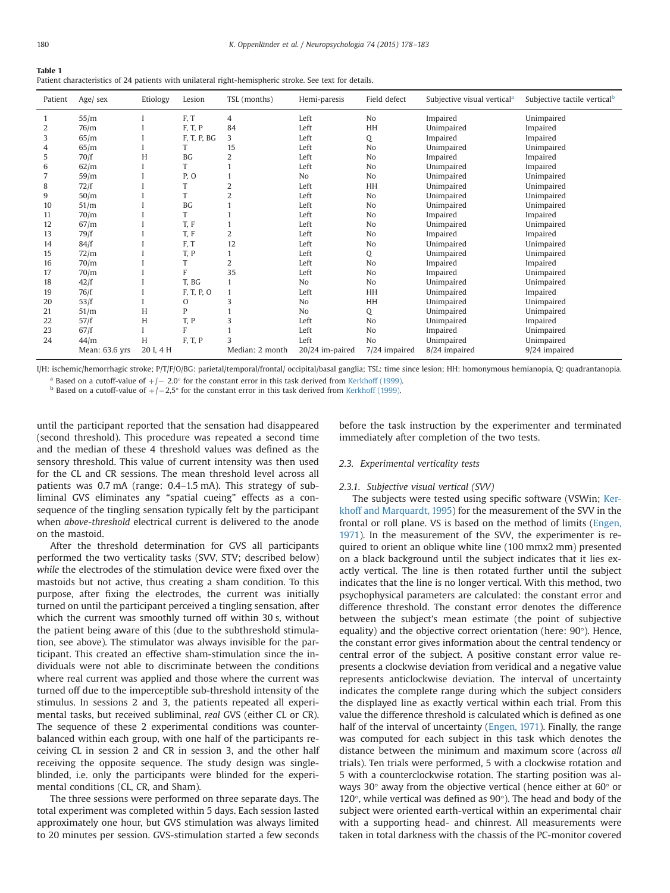<span id="page-2-0"></span>

| Table 1                                                                                                |  |  |
|--------------------------------------------------------------------------------------------------------|--|--|
| Patient characteristics of 24 patients with unilateral right-hemispheric stroke. See text for details. |  |  |

| Patient        | Age/ sex       | Etiology  | Lesion      | TSL (months)    | Hemi-paresis    | Field defect   | Subjective visual vertical <sup>a</sup> | Subjective tactile vertical <sup>b</sup> |
|----------------|----------------|-----------|-------------|-----------------|-----------------|----------------|-----------------------------------------|------------------------------------------|
|                | 55/m           |           | F, T        | $\overline{4}$  | Left            | N <sub>o</sub> | Impaired                                | Unimpaired                               |
| $\overline{2}$ | 76/m           |           | F, T, P     | 84              | Left            | HH             | Unimpaired                              | Impaired                                 |
| 3              | 65/m           |           | F, T, P, BG | 3               | Left            | Q              | Impaired                                | Impaired                                 |
| 4              | 65/m           |           | T           | 15              | Left            | No             | Unimpaired                              | Unimpaired                               |
| 5              | 70/f           | H         | <b>BG</b>   | 2               | Left            | No             | Impaired                                | Impaired                                 |
| 6              | 62/m           |           | T           |                 | Left            | No             | Unimpaired                              | Impaired                                 |
| 7              | 59/m           |           | P, O        |                 | N <sub>0</sub>  | No             | Unimpaired                              | Unimpaired                               |
| 8              | 72/f           |           | T           | $\overline{2}$  | Left            | HH             | Unimpaired                              | Unimpaired                               |
| 9              | 50/m           |           | T           | $\overline{2}$  | Left            | No             | Unimpaired                              | Unimpaired                               |
| 10             | 51/m           |           | <b>BG</b>   |                 | Left            | No             | Unimpaired                              | Unimpaired                               |
| 11             | 70/m           |           | T           |                 | Left            | No             | Impaired                                | Impaired                                 |
| 12             | 67/m           |           | T, F        |                 | Left            | No             | Unimpaired                              | Unimpaired                               |
| 13             | 79/f           |           | T, F        | 2               | Left            | No             | Impaired                                | Impaired                                 |
| 14             | 84/f           |           | F, T        | 12              | Left            | No             | Unimpaired                              | Unimpaired                               |
| 15             | 72/m           |           | T, P        |                 | Left            | Q              | Unimpaired                              | Unimpaired                               |
| 16             | 70/m           |           | T           | $\overline{2}$  | Left            | No             | Impaired                                | Impaired                                 |
| 17             | 70/m           |           | F           | 35              | Left            | No             | Impaired                                | Unimpaired                               |
| 18             | 42/f           |           | T, BG       |                 | No              | No             | Unimpaired                              | Unimpaired                               |
| 19             | 76/f           |           | F, T, P, O  |                 | Left            | HH             | Unimpaired                              | Impaired                                 |
| 20             | 53/f           |           | O           | 3               | N <sub>o</sub>  | HH             | Unimpaired                              | Unimpaired                               |
| 21             | 51/m           | H         | P           |                 | N <sub>0</sub>  | Q              | Unimpaired                              | Unimpaired                               |
| 22             | 57/f           | H         | T, P        | 3               | Left            | No             | Unimpaired                              | Impaired                                 |
| 23             | 67/f           |           | F           |                 | Left            | No             | Impaired                                | Unimpaired                               |
| 24             | 44/m           | H         | F, T, P     |                 | Left            | No             | Unimpaired                              | Unimpaired                               |
|                | Mean: 63.6 yrs | 20 I, 4 H |             | Median: 2 month | 20/24 im-paired | 7/24 impaired  | 8/24 impaired                           | 9/24 impaired                            |

I/H: ischemic/hemorrhagic stroke; P/T/F/O/BG: parietal/temporal/frontal/ occipital/basal ganglia; TSL: time since lesion; HH: homonymous hemianopia, Q: quadrantanopia. <sup>a</sup> Based on a cutoff-value of  $+/- 2.0^\circ$  for the constant error in this task derived from [Kerkhoff \(1999\)](#page-5-0). **b** Based on a cutoff-value of  $+/-2.5^\circ$  for the constant error in this task derived from Kerkhoff (1999).

until the participant reported that the sensation had disappeared (second threshold). This procedure was repeated a second time and the median of these 4 threshold values was defined as the sensory threshold. This value of current intensity was then used for the CL and CR sessions. The mean threshold level across all patients was 0.7 mA (range: 0.4–1.5 mA). This strategy of subliminal GVS eliminates any "spatial cueing" effects as a consequence of the tingling sensation typically felt by the participant when above-threshold electrical current is delivered to the anode on the mastoid.

After the threshold determination for GVS all participants performed the two verticality tasks (SVV, STV; described below) while the electrodes of the stimulation device were fixed over the mastoids but not active, thus creating a sham condition. To this purpose, after fixing the electrodes, the current was initially turned on until the participant perceived a tingling sensation, after which the current was smoothly turned off within 30 s, without the patient being aware of this (due to the subthreshold stimulation, see above). The stimulator was always invisible for the participant. This created an effective sham-stimulation since the individuals were not able to discriminate between the conditions where real current was applied and those where the current was turned off due to the imperceptible sub-threshold intensity of the stimulus. In sessions 2 and 3, the patients repeated all experimental tasks, but received subliminal, real GVS (either CL or CR). The sequence of these 2 experimental conditions was counterbalanced within each group, with one half of the participants receiving CL in session 2 and CR in session 3, and the other half receiving the opposite sequence. The study design was singleblinded, i.e. only the participants were blinded for the experimental conditions (CL, CR, and Sham).

The three sessions were performed on three separate days. The total experiment was completed within 5 days. Each session lasted approximately one hour, but GVS stimulation was always limited to 20 minutes per session. GVS-stimulation started a few seconds before the task instruction by the experimenter and terminated immediately after completion of the two tests.

#### 2.3. Experimental verticality tests

#### 2.3.1. Subjective visual vertical (SVV)

The subjects were tested using specific software (VSWin; [Ker](#page-5-0)[khoff and Marquardt, 1995](#page-5-0)) for the measurement of the SVV in the frontal or roll plane. VS is based on the method of limits [\(Engen,](#page-5-0) [1971\)](#page-5-0). In the measurement of the SVV, the experimenter is required to orient an oblique white line (100 mmx2 mm) presented on a black background until the subject indicates that it lies exactly vertical. The line is then rotated further until the subject indicates that the line is no longer vertical. With this method, two psychophysical parameters are calculated: the constant error and difference threshold. The constant error denotes the difference between the subject's mean estimate (the point of subjective equality) and the objective correct orientation (here: 90°). Hence, the constant error gives information about the central tendency or central error of the subject. A positive constant error value represents a clockwise deviation from veridical and a negative value represents anticlockwise deviation. The interval of uncertainty indicates the complete range during which the subject considers the displayed line as exactly vertical within each trial. From this value the difference threshold is calculated which is defined as one half of the interval of uncertainty [\(Engen, 1971\)](#page-5-0). Finally, the range was computed for each subject in this task which denotes the distance between the minimum and maximum score (across all trials). Ten trials were performed, 5 with a clockwise rotation and 5 with a counterclockwise rotation. The starting position was always 30° away from the objective vertical (hence either at 60° or 120°, while vertical was defined as 90°). The head and body of the subject were oriented earth-vertical within an experimental chair with a supporting head- and chinrest. All measurements were taken in total darkness with the chassis of the PC-monitor covered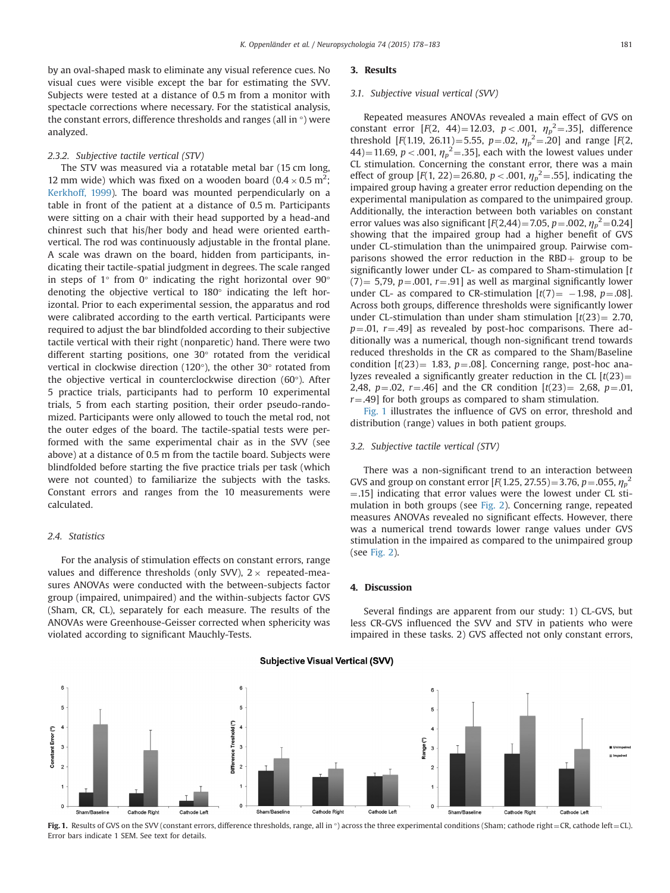by an oval-shaped mask to eliminate any visual reference cues. No visual cues were visible except the bar for estimating the SVV. Subjects were tested at a distance of 0.5 m from a monitor with spectacle corrections where necessary. For the statistical analysis, the constant errors, difference thresholds and ranges (all in °) were analyzed.

#### 2.3.2. Subjective tactile vertical (STV)

The STV was measured via a rotatable metal bar (15 cm long, 12 mm wide) which was fixed on a wooden board  $(0.4 \times 0.5 \text{ m}^2)$ ; [Kerkhoff, 1999](#page-5-0)). The board was mounted perpendicularly on a table in front of the patient at a distance of 0.5 m. Participants were sitting on a chair with their head supported by a head-and chinrest such that his/her body and head were oriented earthvertical. The rod was continuously adjustable in the frontal plane. A scale was drawn on the board, hidden from participants, indicating their tactile-spatial judgment in degrees. The scale ranged in steps of  $1^\circ$  from  $0^\circ$  indicating the right horizontal over  $90^\circ$ denoting the objective vertical to 180° indicating the left horizontal. Prior to each experimental session, the apparatus and rod were calibrated according to the earth vertical. Participants were required to adjust the bar blindfolded according to their subjective tactile vertical with their right (nonparetic) hand. There were two different starting positions, one 30° rotated from the veridical vertical in clockwise direction (120°), the other 30° rotated from the objective vertical in counterclockwise direction (60°). After 5 practice trials, participants had to perform 10 experimental trials, 5 from each starting position, their order pseudo-randomized. Participants were only allowed to touch the metal rod, not the outer edges of the board. The tactile-spatial tests were performed with the same experimental chair as in the SVV (see above) at a distance of 0.5 m from the tactile board. Subjects were blindfolded before starting the five practice trials per task (which were not counted) to familiarize the subjects with the tasks. Constant errors and ranges from the 10 measurements were calculated.

### 2.4. Statistics

For the analysis of stimulation effects on constant errors, range values and difference thresholds (only SVV),  $2 \times$  repeated-measures ANOVAs were conducted with the between-subjects factor group (impaired, unimpaired) and the within-subjects factor GVS (Sham, CR, CL), separately for each measure. The results of the ANOVAs were Greenhouse-Geisser corrected when sphericity was violated according to significant Mauchly-Tests.

#### 3. Results

#### 3.1. Subjective visual vertical (SVV)

Repeated measures ANOVAs revealed a main effect of GVS on constant error  $[F(2, 44)=12.03, p<.001, \eta_p^2=.35]$ , difference threshold [F(1.19, 26.11)=5.55, p=.02,  $\eta_p^2$ =.20] and range [F(2, 44)=11.69, *p* < .001,  $\eta_p^2$ =.35], each with the lowest values under CL stimulation. Concerning the constant error, there was a main effect of group  $[F(1, 22) = 26.80, p < .001, \eta_p^2 = .55]$ , indicating the impaired group having a greater error reduction depending on the experimental manipulation as compared to the unimpaired group. Additionally, the interaction between both variables on constant error values was also significant  $[F(2,44)=7.05, p=.002, \eta_p^2=0.24]$ showing that the impaired group had a higher benefit of GVS under CL-stimulation than the unimpaired group. Pairwise comparisons showed the error reduction in the RBD $+$  group to be significantly lower under CL- as compared to Sham-stimulation  $[t]$  $(7)$  = 5,79, p = 0.01, r = 9.91] as well as marginal significantly lower under CL- as compared to CR-stimulation  $[t(7)] = -1.98$ ,  $p = .08$ ]. Across both groups, difference thresholds were significantly lower under CL-stimulation than under sham stimulation  $[t(23) = 2.70,$  $p=.01, r=.49$ ] as revealed by post-hoc comparisons. There additionally was a numerical, though non-significant trend towards reduced thresholds in the CR as compared to the Sham/Baseline condition  $[t(23) = 1.83, p = .08]$ . Concerning range, post-hoc analyzes revealed a significantly greater reduction in the CL  $[t(23)$  = 2,48,  $p=.02$ ,  $r=.46$ ] and the CR condition  $[t(23)] = 2,68$ ,  $p=.01$ ,  $r = .49$ ] for both groups as compared to sham stimulation.

Fig. 1 illustrates the influence of GVS on error, threshold and distribution (range) values in both patient groups.

### 3.2. Subjective tactile vertical (STV)

There was a non-significant trend to an interaction between GVS and group on constant error  $[F(1.25, 27.55) = 3.76, p = .055, \eta_p^2$  $=$ .15] indicating that error values were the lowest under CL stimulation in both groups (see [Fig. 2\)](#page-4-0). Concerning range, repeated measures ANOVAs revealed no significant effects. However, there was a numerical trend towards lower range values under GVS stimulation in the impaired as compared to the unimpaired group (see [Fig. 2](#page-4-0)).

## 4. Discussion

Several findings are apparent from our study: 1) CL-GVS, but less CR-GVS influenced the SVV and STV in patients who were impaired in these tasks. 2) GVS affected not only constant errors,



## **Subiective Visual Vertical (SVV)**

Fig. 1. Results of GVS on the SVV (constant errors, difference thresholds, range, all in  $\circ$ ) across the three experimental conditions (Sham; cathode right = CR, cathode left = CL). Error bars indicate 1 SEM. See text for details.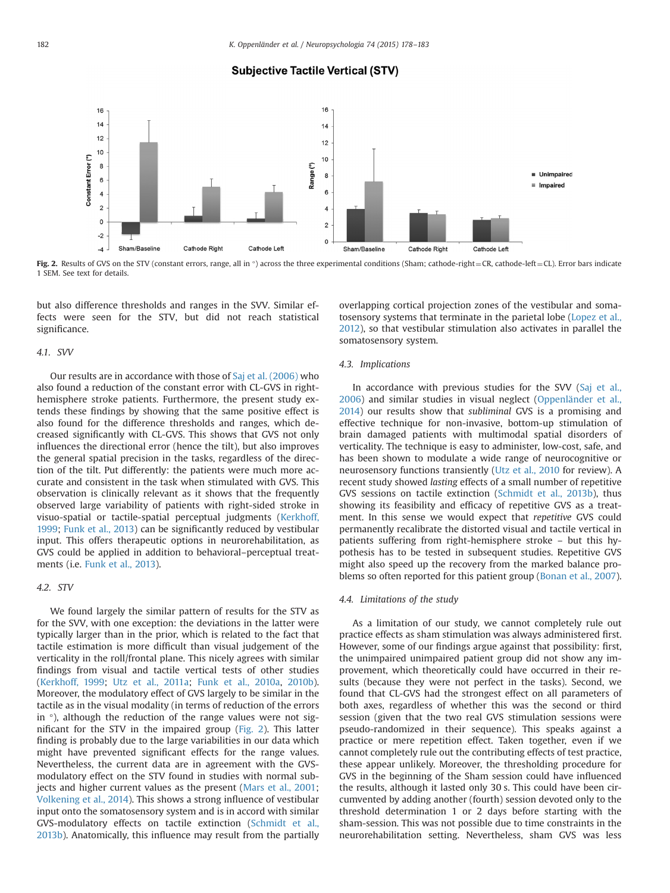## **Subjective Tactile Vertical (STV)**

<span id="page-4-0"></span>

Fig. 2. Results of GVS on the STV (constant errors, range, all in  $\circ$ ) across the three experimental conditions (Sham; cathode-right = CR, cathode-left = CL). Error bars indicate 1 SEM. See text for details.

but also difference thresholds and ranges in the SVV. Similar effects were seen for the STV, but did not reach statistical significance.

#### 4.1. SVV

Our results are in accordance with those of [Saj et al. \(2006\)](#page-5-0) who also found a reduction of the constant error with CL-GVS in righthemisphere stroke patients. Furthermore, the present study extends these findings by showing that the same positive effect is also found for the difference thresholds and ranges, which decreased significantly with CL-GVS. This shows that GVS not only influences the directional error (hence the tilt), but also improves the general spatial precision in the tasks, regardless of the direction of the tilt. Put differently: the patients were much more accurate and consistent in the task when stimulated with GVS. This observation is clinically relevant as it shows that the frequently observed large variability of patients with right-sided stroke in visuo-spatial or tactile-spatial perceptual judgments ([Kerkhoff,](#page-5-0) [1999](#page-5-0); [Funk et al., 2013](#page-5-0)) can be significantly reduced by vestibular input. This offers therapeutic options in neurorehabilitation, as GVS could be applied in addition to behavioral–perceptual treatments (i.e. [Funk et al., 2013](#page-5-0)).

## 4.2. STV

We found largely the similar pattern of results for the STV as for the SVV, with one exception: the deviations in the latter were typically larger than in the prior, which is related to the fact that tactile estimation is more difficult than visual judgement of the verticality in the roll/frontal plane. This nicely agrees with similar findings from visual and tactile vertical tests of other studies ([Kerkhoff, 1999;](#page-5-0) [Utz et al., 2011a;](#page-5-0) [Funk et al., 2010a](#page-5-0), [2010b\)](#page-5-0). Moreover, the modulatory effect of GVS largely to be similar in the tactile as in the visual modality (in terms of reduction of the errors in  $\degree$ ), although the reduction of the range values were not significant for the STV in the impaired group (Fig. 2). This latter finding is probably due to the large variabilities in our data which might have prevented significant effects for the range values. Nevertheless, the current data are in agreement with the GVSmodulatory effect on the STV found in studies with normal subjects and higher current values as the present [\(Mars et al., 2001;](#page-5-0) [Volkening et al., 2014](#page-5-0)). This shows a strong influence of vestibular input onto the somatosensory system and is in accord with similar GVS-modulatory effects on tactile extinction [\(Schmidt et al.,](#page-5-0) [2013b\)](#page-5-0). Anatomically, this influence may result from the partially overlapping cortical projection zones of the vestibular and somatosensory systems that terminate in the parietal lobe [\(Lopez et al.,](#page-5-0) [2012](#page-5-0)), so that vestibular stimulation also activates in parallel the somatosensory system.

#### 4.3. Implications

In accordance with previous studies for the SVV ([Saj et al.,](#page-5-0) [2006](#page-5-0)) and similar studies in visual neglect ([Oppenländer et al.,](#page-5-0) [2014\)](#page-5-0) our results show that subliminal GVS is a promising and effective technique for non-invasive, bottom-up stimulation of brain damaged patients with multimodal spatial disorders of verticality. The technique is easy to administer, low-cost, safe, and has been shown to modulate a wide range of neurocognitive or neurosensory functions transiently [\(Utz et al., 2010](#page-5-0) for review). A recent study showed lasting effects of a small number of repetitive GVS sessions on tactile extinction ([Schmidt et al., 2013b](#page-5-0)), thus showing its feasibility and efficacy of repetitive GVS as a treatment. In this sense we would expect that repetitive GVS could permanently recalibrate the distorted visual and tactile vertical in patients suffering from right-hemisphere stroke – but this hypothesis has to be tested in subsequent studies. Repetitive GVS might also speed up the recovery from the marked balance pro-blems so often reported for this patient group [\(Bonan et al., 2007\)](#page-5-0).

#### 4.4. Limitations of the study

As a limitation of our study, we cannot completely rule out practice effects as sham stimulation was always administered first. However, some of our findings argue against that possibility: first, the unimpaired unimpaired patient group did not show any improvement, which theoretically could have occurred in their results (because they were not perfect in the tasks). Second, we found that CL-GVS had the strongest effect on all parameters of both axes, regardless of whether this was the second or third session (given that the two real GVS stimulation sessions were pseudo-randomized in their sequence). This speaks against a practice or mere repetition effect. Taken together, even if we cannot completely rule out the contributing effects of test practice, these appear unlikely. Moreover, the thresholding procedure for GVS in the beginning of the Sham session could have influenced the results, although it lasted only 30 s. This could have been circumvented by adding another (fourth) session devoted only to the threshold determination 1 or 2 days before starting with the sham-session. This was not possible due to time constraints in the neurorehabilitation setting. Nevertheless, sham GVS was less